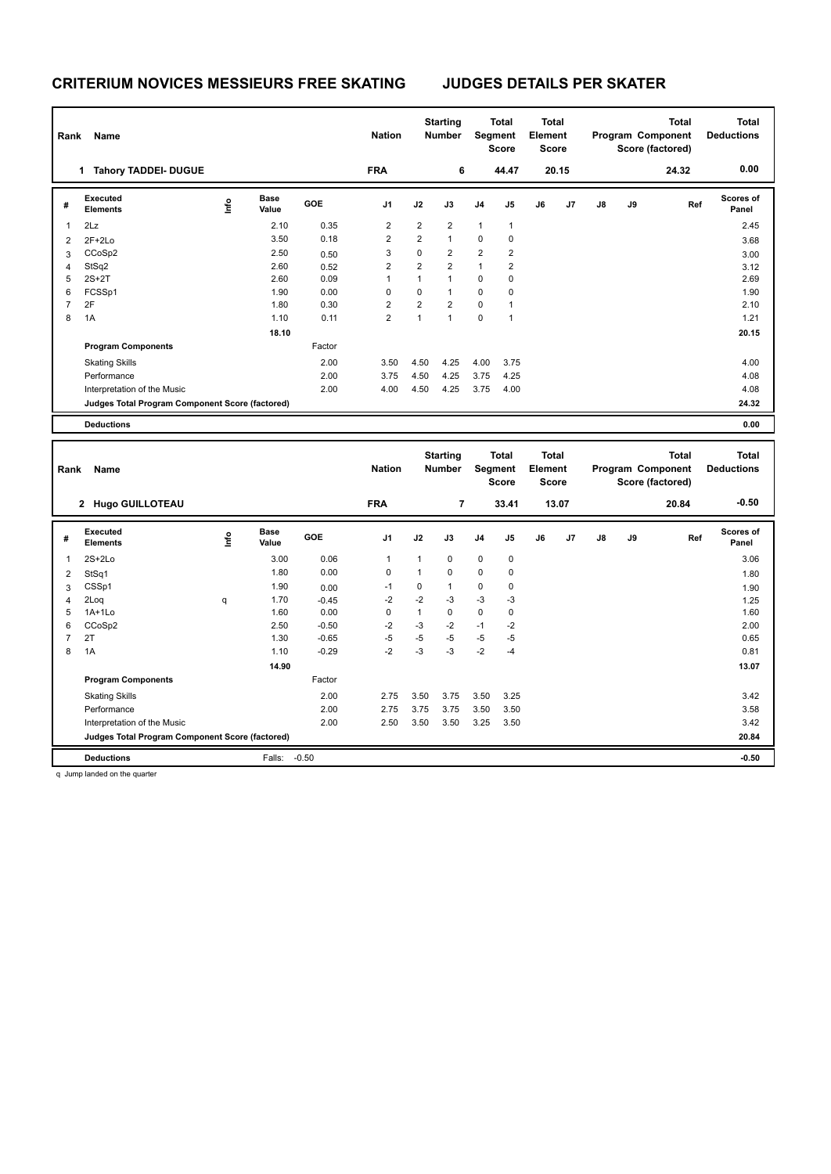| Rank           | Name                                            | <b>Nation</b> |                      | <b>Starting</b><br><b>Number</b> | <b>Total</b><br>Segment<br><b>Score</b> |                | <b>Total</b><br>Element<br>Score |                | <b>Total</b><br>Program Component<br>Score (factored) |    |       | <b>Total</b><br><b>Deductions</b> |    |       |                    |
|----------------|-------------------------------------------------|---------------|----------------------|----------------------------------|-----------------------------------------|----------------|----------------------------------|----------------|-------------------------------------------------------|----|-------|-----------------------------------|----|-------|--------------------|
|                | <b>Tahory TADDEI- DUGUE</b><br>1.               |               |                      |                                  | <b>FRA</b>                              |                | 6                                |                | 44.47                                                 |    | 20.15 |                                   |    | 24.32 | 0.00               |
| #              | Executed<br><b>Elements</b>                     | ۴             | <b>Base</b><br>Value | <b>GOE</b>                       | J <sub>1</sub>                          | J2             | J3                               | J <sub>4</sub> | J5                                                    | J6 | J7    | $\mathsf{J}8$                     | J9 | Ref   | Scores of<br>Panel |
| 1              | 2Lz                                             |               | 2.10                 | 0.35                             | $\overline{2}$                          | $\overline{2}$ | $\overline{2}$                   | $\mathbf{1}$   | $\mathbf{1}$                                          |    |       |                                   |    |       | 2.45               |
| 2              | $2F+2Lo$                                        |               | 3.50                 | 0.18                             | $\overline{2}$                          | $\overline{2}$ | $\mathbf{1}$                     | $\pmb{0}$      | 0                                                     |    |       |                                   |    |       | 3.68               |
| 3              | CCoSp2                                          |               | 2.50                 | 0.50                             | 3                                       | 0              | $\overline{2}$                   | $\overline{2}$ | $\overline{2}$                                        |    |       |                                   |    |       | 3.00               |
| 4              | StSq2                                           |               | 2.60                 | 0.52                             | $\overline{2}$                          | $\overline{2}$ | $\overline{2}$                   | $\mathbf{1}$   | $\overline{2}$                                        |    |       |                                   |    |       | 3.12               |
| 5              | $2S+2T$                                         |               | 2.60                 | 0.09                             |                                         | 1              | 1                                | $\mathbf 0$    | 0                                                     |    |       |                                   |    |       | 2.69               |
| 6              | FCSSp1                                          |               | 1.90                 | 0.00                             | $\Omega$                                | $\mathbf 0$    | 1                                | $\mathbf 0$    | 0                                                     |    |       |                                   |    |       | 1.90               |
| $\overline{7}$ | 2F                                              |               | 1.80                 | 0.30                             | 2                                       | $\overline{2}$ | $\overline{2}$                   | $\mathbf 0$    | 1                                                     |    |       |                                   |    |       | 2.10               |
| 8              | 1A                                              |               | 1.10                 | 0.11                             | $\overline{2}$                          | 1              | 1                                | $\mathbf 0$    | $\mathbf{1}$                                          |    |       |                                   |    |       | 1.21               |
|                |                                                 |               | 18.10                |                                  |                                         |                |                                  |                |                                                       |    |       |                                   |    |       | 20.15              |
|                | <b>Program Components</b>                       |               |                      | Factor                           |                                         |                |                                  |                |                                                       |    |       |                                   |    |       |                    |
|                | <b>Skating Skills</b>                           |               |                      | 2.00                             | 3.50                                    | 4.50           | 4.25                             | 4.00           | 3.75                                                  |    |       |                                   |    |       | 4.00               |
|                | Performance                                     |               |                      | 2.00                             | 3.75                                    | 4.50           | 4.25                             | 3.75           | 4.25                                                  |    |       |                                   |    |       | 4.08               |
|                | Interpretation of the Music                     |               |                      | 2.00                             | 4.00                                    | 4.50           | 4.25                             | 3.75           | 4.00                                                  |    |       |                                   |    |       | 4.08               |
|                | Judges Total Program Component Score (factored) |               |                      |                                  |                                         |                |                                  |                |                                                       |    |       |                                   |    |       | 24.32              |
|                | <b>Deductions</b>                               |               |                      |                                  |                                         |                |                                  |                |                                                       |    |       |                                   |    |       | 0.00               |

| Name<br>Rank<br><b>Hugo GUILLOTEAU</b><br>$\mathbf{2}$ |                                                 |   |                      |         | <b>Nation</b><br><b>FRA</b> |      | <b>Starting</b><br>Total<br>Segment<br><b>Number</b><br><b>Score</b><br>7<br>33.41 |                |               | <b>Total</b><br>Element<br><b>Score</b><br>13.07 |    | <b>Total</b><br>Program Component<br>Score (factored)<br>20.84 |    |     | <b>Total</b><br><b>Deductions</b><br>$-0.50$ |
|--------------------------------------------------------|-------------------------------------------------|---|----------------------|---------|-----------------------------|------|------------------------------------------------------------------------------------|----------------|---------------|--------------------------------------------------|----|----------------------------------------------------------------|----|-----|----------------------------------------------|
| #                                                      | Executed<br><b>Elements</b>                     | ۴ | <b>Base</b><br>Value | GOE     | J <sub>1</sub>              | J2   | J3                                                                                 | J <sub>4</sub> | $\mathsf{J}5$ | J6                                               | J7 | J8                                                             | J9 | Ref | <b>Scores of</b><br>Panel                    |
|                                                        | $2S+2Lo$                                        |   | 3.00                 | 0.06    |                             |      | 0                                                                                  | $\mathbf 0$    | $\mathbf 0$   |                                                  |    |                                                                |    |     | 3.06                                         |
| 2                                                      | StSq1                                           |   | 1.80                 | 0.00    | 0                           | 1    | $\mathbf 0$                                                                        | $\mathbf 0$    | 0             |                                                  |    |                                                                |    |     | 1.80                                         |
| 3                                                      | CSSp1                                           |   | 1.90                 | 0.00    | $-1$                        | 0    | $\mathbf{1}$                                                                       | $\mathbf 0$    | 0             |                                                  |    |                                                                |    |     | 1.90                                         |
| $\overline{4}$                                         | 2Loq                                            | q | 1.70                 | $-0.45$ | $-2$                        | $-2$ | $-3$                                                                               | $-3$           | $-3$          |                                                  |    |                                                                |    |     | 1.25                                         |
| 5                                                      | $1A+1Lo$                                        |   | 1.60                 | 0.00    | 0                           | 1    | $\mathbf 0$                                                                        | $\mathsf 0$    | 0             |                                                  |    |                                                                |    |     | 1.60                                         |
| 6                                                      | CCoSp2                                          |   | 2.50                 | $-0.50$ | $-2$                        | $-3$ | $-2$                                                                               | $-1$           | $-2$          |                                                  |    |                                                                |    |     | 2.00                                         |
|                                                        | 2T                                              |   | 1.30                 | $-0.65$ | $-5$                        | $-5$ | $-5$                                                                               | $-5$           | $-5$          |                                                  |    |                                                                |    |     | 0.65                                         |
| 8                                                      | 1A                                              |   | 1.10                 | $-0.29$ | $-2$                        | $-3$ | $-3$                                                                               | $-2$           | $-4$          |                                                  |    |                                                                |    |     | 0.81                                         |
|                                                        |                                                 |   | 14.90                |         |                             |      |                                                                                    |                |               |                                                  |    |                                                                |    |     | 13.07                                        |
|                                                        | <b>Program Components</b>                       |   |                      | Factor  |                             |      |                                                                                    |                |               |                                                  |    |                                                                |    |     |                                              |
|                                                        | <b>Skating Skills</b>                           |   |                      | 2.00    | 2.75                        | 3.50 | 3.75                                                                               | 3.50           | 3.25          |                                                  |    |                                                                |    |     | 3.42                                         |
|                                                        | Performance                                     |   |                      | 2.00    | 2.75                        | 3.75 | 3.75                                                                               | 3.50           | 3.50          |                                                  |    |                                                                |    |     | 3.58                                         |
|                                                        | Interpretation of the Music                     |   |                      | 2.00    | 2.50                        | 3.50 | 3.50                                                                               | 3.25           | 3.50          |                                                  |    |                                                                |    |     | 3.42                                         |
|                                                        | Judges Total Program Component Score (factored) |   |                      |         |                             |      |                                                                                    |                |               |                                                  |    |                                                                |    |     | 20.84                                        |
|                                                        | <b>Deductions</b>                               |   | Falls:               | $-0.50$ |                             |      |                                                                                    |                |               |                                                  |    |                                                                |    |     | $-0.50$                                      |

q Jump landed on the quarter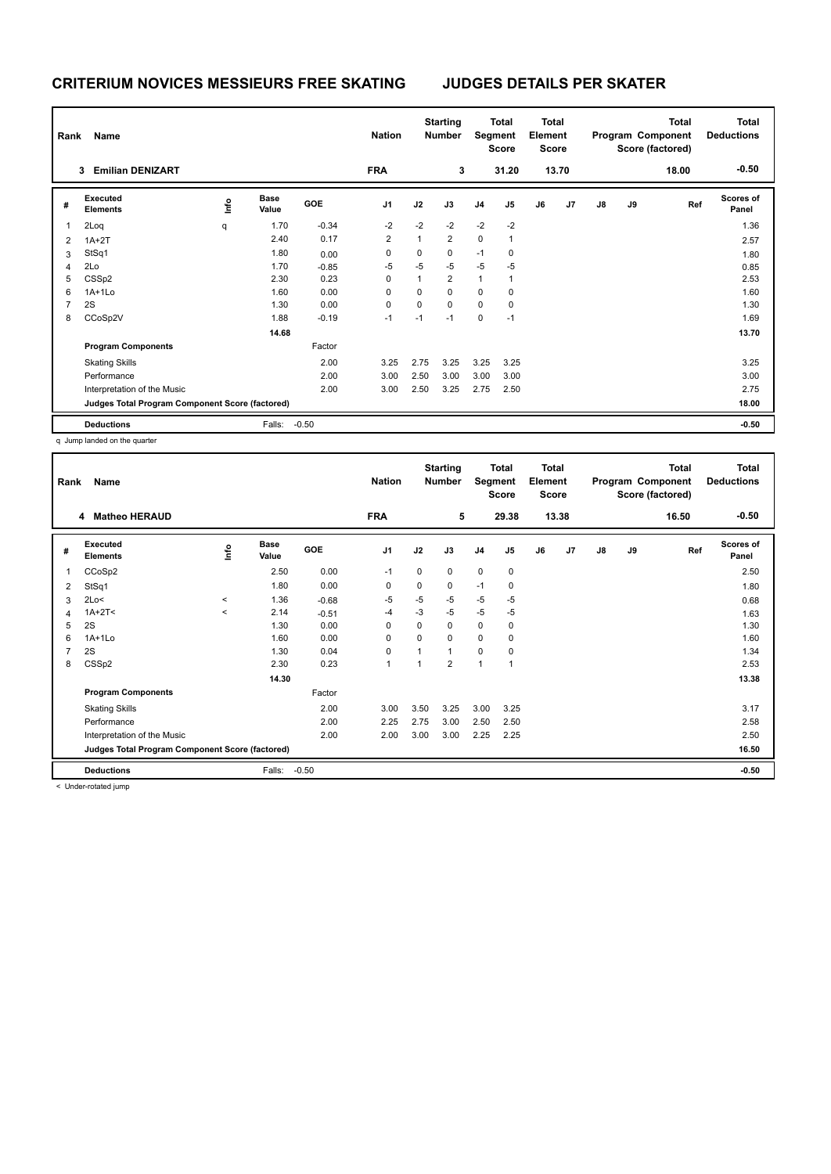|                | Name<br>Rank                                    |    |                      |         | <b>Nation</b>  |              | <b>Starting</b><br><b>Number</b> |                | <b>Total</b><br>Segment<br><b>Score</b> |    | <b>Total</b><br>Element<br><b>Score</b> |               |    | <b>Total</b><br>Program Component<br>Score (factored) | <b>Total</b><br><b>Deductions</b> |
|----------------|-------------------------------------------------|----|----------------------|---------|----------------|--------------|----------------------------------|----------------|-----------------------------------------|----|-----------------------------------------|---------------|----|-------------------------------------------------------|-----------------------------------|
|                | <b>Emilian DENIZART</b><br>3                    |    |                      |         | <b>FRA</b>     |              | 3                                |                | 31.20                                   |    | 13.70                                   |               |    | 18.00                                                 | $-0.50$                           |
| #              | Executed<br><b>Elements</b>                     | ۴ů | <b>Base</b><br>Value | GOE     | J <sub>1</sub> | J2           | J3                               | J <sub>4</sub> | J <sub>5</sub>                          | J6 | J7                                      | $\mathsf{J}8$ | J9 | Ref                                                   | <b>Scores of</b><br>Panel         |
| 1              | 2Loq                                            | q  | 1.70                 | $-0.34$ | $-2$           | $-2$         | $-2$                             | $-2$           | $-2$                                    |    |                                         |               |    |                                                       | 1.36                              |
| 2              | $1A+2T$                                         |    | 2.40                 | 0.17    | $\overline{2}$ | $\mathbf{1}$ | $\overline{2}$                   | $\pmb{0}$      | 1                                       |    |                                         |               |    |                                                       | 2.57                              |
| 3              | StSq1                                           |    | 1.80                 | 0.00    | 0              | 0            | 0                                | $-1$           | 0                                       |    |                                         |               |    |                                                       | 1.80                              |
| 4              | 2Lo                                             |    | 1.70                 | $-0.85$ | $-5$           | $-5$         | $-5$                             | $-5$           | $-5$                                    |    |                                         |               |    |                                                       | 0.85                              |
| 5              | CSS <sub>p2</sub>                               |    | 2.30                 | 0.23    | 0              | 1            | $\overline{2}$                   | 1              | 1                                       |    |                                         |               |    |                                                       | 2.53                              |
| 6              | $1A+1L0$                                        |    | 1.60                 | 0.00    | 0              | 0            | $\mathbf 0$                      | $\mathbf 0$    | 0                                       |    |                                         |               |    |                                                       | 1.60                              |
| $\overline{7}$ | 2S                                              |    | 1.30                 | 0.00    | 0              | $\mathbf 0$  | $\mathbf 0$                      | $\mathbf 0$    | 0                                       |    |                                         |               |    |                                                       | 1.30                              |
| 8              | CCoSp2V                                         |    | 1.88                 | $-0.19$ | $-1$           | $-1$         | $-1$                             | $\pmb{0}$      | $-1$                                    |    |                                         |               |    |                                                       | 1.69                              |
|                |                                                 |    | 14.68                |         |                |              |                                  |                |                                         |    |                                         |               |    |                                                       | 13.70                             |
|                | <b>Program Components</b>                       |    |                      | Factor  |                |              |                                  |                |                                         |    |                                         |               |    |                                                       |                                   |
|                | <b>Skating Skills</b>                           |    |                      | 2.00    | 3.25           | 2.75         | 3.25                             | 3.25           | 3.25                                    |    |                                         |               |    |                                                       | 3.25                              |
|                | Performance                                     |    |                      | 2.00    | 3.00           | 2.50         | 3.00                             | 3.00           | 3.00                                    |    |                                         |               |    |                                                       | 3.00                              |
|                | Interpretation of the Music                     |    |                      | 2.00    | 3.00           | 2.50         | 3.25                             | 2.75           | 2.50                                    |    |                                         |               |    |                                                       | 2.75                              |
|                | Judges Total Program Component Score (factored) |    |                      |         |                |              |                                  |                |                                         |    |                                         |               |    |                                                       | 18.00                             |
|                | <b>Deductions</b>                               |    | Falls:               | $-0.50$ |                |              |                                  |                |                                         |    |                                         |               |    |                                                       | $-0.50$                           |

q Jump landed on the quarter

|                | Name<br>Rank<br>4                               |         |                      |         |                |             | <b>Starting</b><br><b>Total</b><br>Segment<br><b>Number</b><br><b>Score</b> |                | <b>Total</b><br>Element<br><b>Score</b> |    | Program Component |               | <b>Total</b><br>Score (factored) | <b>Total</b><br><b>Deductions</b> |                           |
|----------------|-------------------------------------------------|---------|----------------------|---------|----------------|-------------|-----------------------------------------------------------------------------|----------------|-----------------------------------------|----|-------------------|---------------|----------------------------------|-----------------------------------|---------------------------|
|                | <b>Matheo HERAUD</b>                            |         |                      |         | <b>FRA</b>     |             | 5                                                                           |                | 29.38                                   |    | 13.38             |               |                                  | 16.50                             | $-0.50$                   |
| #              | Executed<br><b>Elements</b>                     | ١nf٥    | <b>Base</b><br>Value | GOE     | J <sub>1</sub> | J2          | J3                                                                          | J <sub>4</sub> | J5                                      | J6 | J7                | $\mathsf{J}8$ | J9                               | Ref                               | <b>Scores of</b><br>Panel |
| 1              | CCoSp2                                          |         | 2.50                 | 0.00    | $-1$           | $\Omega$    | 0                                                                           | $\mathbf 0$    | 0                                       |    |                   |               |                                  |                                   | 2.50                      |
| 2              | StSq1                                           |         | 1.80                 | 0.00    | 0              | 0           | 0                                                                           | $-1$           | 0                                       |    |                   |               |                                  |                                   | 1.80                      |
| 3              | 2Lo<                                            | $\prec$ | 1.36                 | $-0.68$ | $-5$           | $-5$        | $-5$                                                                        | $-5$           | $-5$                                    |    |                   |               |                                  |                                   | 0.68                      |
| 4              | $1A+2T2$                                        | $\,<\,$ | 2.14                 | $-0.51$ | -4             | $-3$        | $-5$                                                                        | $-5$           | $-5$                                    |    |                   |               |                                  |                                   | 1.63                      |
| 5              | 2S                                              |         | 1.30                 | 0.00    | $\Omega$       | 0           | $\Omega$                                                                    | $\mathbf 0$    | 0                                       |    |                   |               |                                  |                                   | 1.30                      |
| 6              | $1A+1L0$                                        |         | 1.60                 | 0.00    | 0              | $\mathbf 0$ | 0                                                                           | $\mathbf 0$    | 0                                       |    |                   |               |                                  |                                   | 1.60                      |
| $\overline{7}$ | 2S                                              |         | 1.30                 | 0.04    | 0              | 1           | 1                                                                           | $\mathbf 0$    | 0                                       |    |                   |               |                                  |                                   | 1.34                      |
| 8              | CSS <sub>p2</sub>                               |         | 2.30                 | 0.23    | 1              | 1           | $\overline{2}$                                                              | $\overline{1}$ | 1                                       |    |                   |               |                                  |                                   | 2.53                      |
|                |                                                 |         | 14.30                |         |                |             |                                                                             |                |                                         |    |                   |               |                                  |                                   | 13.38                     |
|                | <b>Program Components</b>                       |         |                      | Factor  |                |             |                                                                             |                |                                         |    |                   |               |                                  |                                   |                           |
|                | <b>Skating Skills</b>                           |         |                      | 2.00    | 3.00           | 3.50        | 3.25                                                                        | 3.00           | 3.25                                    |    |                   |               |                                  |                                   | 3.17                      |
|                | Performance                                     |         |                      | 2.00    | 2.25           | 2.75        | 3.00                                                                        | 2.50           | 2.50                                    |    |                   |               |                                  |                                   | 2.58                      |
|                | Interpretation of the Music                     |         |                      | 2.00    | 2.00           | 3.00        | 3.00                                                                        | 2.25           | 2.25                                    |    |                   |               |                                  |                                   | 2.50                      |
|                | Judges Total Program Component Score (factored) |         |                      |         |                |             |                                                                             |                |                                         |    |                   |               |                                  |                                   | 16.50                     |
|                | <b>Deductions</b>                               |         | Falls:               | $-0.50$ |                |             |                                                                             |                |                                         |    |                   |               |                                  |                                   | $-0.50$                   |

< Under-rotated jump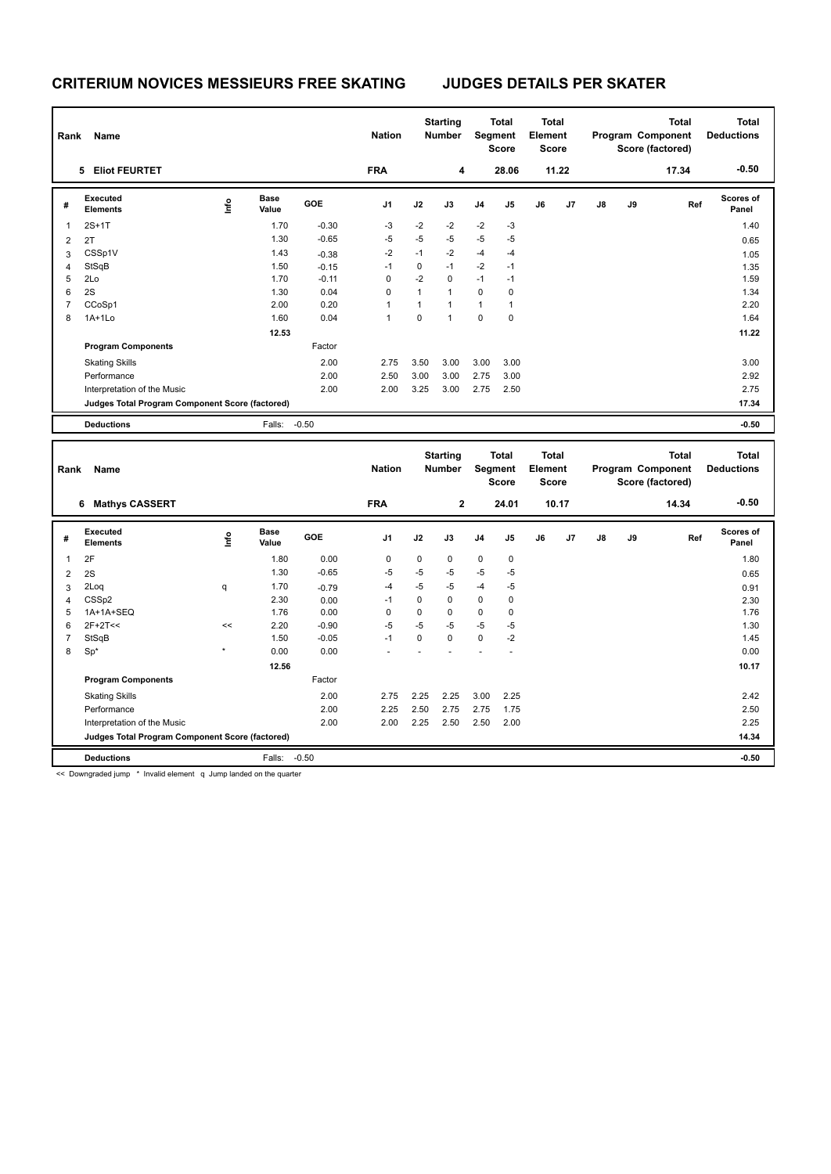|   | Name<br>Rank                                    |      |                      |         | <b>Nation</b>  |              | <b>Starting</b><br><b>Number</b> |                | Total<br>Segment<br><b>Score</b> |    | <b>Total</b><br>Element<br><b>Score</b> |               |    | <b>Total</b><br>Program Component<br>Score (factored) | <b>Total</b><br><b>Deductions</b> |  |
|---|-------------------------------------------------|------|----------------------|---------|----------------|--------------|----------------------------------|----------------|----------------------------------|----|-----------------------------------------|---------------|----|-------------------------------------------------------|-----------------------------------|--|
|   | <b>Eliot FEURTET</b><br>5                       |      |                      |         | <b>FRA</b>     |              | 4                                |                | 28.06                            |    | 11.22                                   |               |    | 17.34                                                 | $-0.50$                           |  |
| # | Executed<br><b>Elements</b>                     | lnfo | <b>Base</b><br>Value | GOE     | J <sub>1</sub> | J2           | J3                               | J <sub>4</sub> | J5                               | J6 | J7                                      | $\mathsf{J}8$ | J9 | Ref                                                   | Scores of<br>Panel                |  |
| 1 | $2S+1T$                                         |      | 1.70                 | $-0.30$ | $-3$           | $-2$         | $-2$                             | $-2$           | $-3$                             |    |                                         |               |    |                                                       | 1.40                              |  |
| 2 | 2T                                              |      | 1.30                 | $-0.65$ | $-5$           | $-5$         | $-5$                             | $-5$           | $-5$                             |    |                                         |               |    |                                                       | 0.65                              |  |
| 3 | CSSp1V                                          |      | 1.43                 | $-0.38$ | $-2$           | $-1$         | $-2$                             | $-4$           | $-4$                             |    |                                         |               |    |                                                       | 1.05                              |  |
| 4 | StSqB                                           |      | 1.50                 | $-0.15$ | $-1$           | 0            | $-1$                             | $-2$           | $-1$                             |    |                                         |               |    |                                                       | 1.35                              |  |
| 5 | 2Lo                                             |      | 1.70                 | $-0.11$ | 0              | $-2$         | $\Omega$                         | $-1$           | $-1$                             |    |                                         |               |    |                                                       | 1.59                              |  |
| 6 | 2S                                              |      | 1.30                 | 0.04    | 0              | $\mathbf{1}$ | $\overline{1}$                   | $\mathbf 0$    | 0                                |    |                                         |               |    |                                                       | 1.34                              |  |
| 7 | CCoSp1                                          |      | 2.00                 | 0.20    | 1              | 1            | 1                                | $\mathbf{1}$   | 1                                |    |                                         |               |    |                                                       | 2.20                              |  |
| 8 | $1A+1Lo$                                        |      | 1.60                 | 0.04    | 1              | 0            | -1                               | $\pmb{0}$      | 0                                |    |                                         |               |    |                                                       | 1.64                              |  |
|   |                                                 |      | 12.53                |         |                |              |                                  |                |                                  |    |                                         |               |    |                                                       | 11.22                             |  |
|   | <b>Program Components</b>                       |      |                      | Factor  |                |              |                                  |                |                                  |    |                                         |               |    |                                                       |                                   |  |
|   | <b>Skating Skills</b>                           |      |                      | 2.00    | 2.75           | 3.50         | 3.00                             | 3.00           | 3.00                             |    |                                         |               |    |                                                       | 3.00                              |  |
|   | Performance                                     |      |                      | 2.00    | 2.50           | 3.00         | 3.00                             | 2.75           | 3.00                             |    |                                         |               |    |                                                       | 2.92                              |  |
|   | Interpretation of the Music                     |      |                      | 2.00    | 2.00           | 3.25         | 3.00                             | 2.75           | 2.50                             |    |                                         |               |    |                                                       | 2.75                              |  |
|   | Judges Total Program Component Score (factored) |      |                      |         |                |              |                                  |                |                                  |    |                                         |               |    |                                                       | 17.34                             |  |
|   | <b>Deductions</b>                               |      | Falls:               | $-0.50$ |                |              |                                  |                |                                  |    |                                         |               |    |                                                       | $-0.50$                           |  |

| Name<br>Rank   |                                                 |         |                      |         | <b>Nation</b>  |          | <b>Starting</b><br><b>Number</b> |                | <b>Total</b><br>Segment<br><b>Score</b> | Total<br>Element<br><b>Score</b> |       |               |    | <b>Total</b><br>Program Component<br>Score (factored) | Total<br><b>Deductions</b> |
|----------------|-------------------------------------------------|---------|----------------------|---------|----------------|----------|----------------------------------|----------------|-----------------------------------------|----------------------------------|-------|---------------|----|-------------------------------------------------------|----------------------------|
|                | <b>Mathys CASSERT</b><br>6                      |         |                      |         | <b>FRA</b>     |          | $\mathbf{2}$                     |                | 24.01                                   |                                  | 10.17 |               |    | 14.34                                                 | $-0.50$                    |
| #              | Executed<br><b>Elements</b>                     | ۴       | <b>Base</b><br>Value | GOE     | J <sub>1</sub> | J2       | J3                               | J <sub>4</sub> | J <sub>5</sub>                          | J6                               | J7    | $\mathsf{J}8$ | J9 | Ref                                                   | <b>Scores of</b><br>Panel  |
|                | 2F                                              |         | 1.80                 | 0.00    | $\mathbf 0$    | 0        | $\mathbf 0$                      | $\pmb{0}$      | $\mathbf 0$                             |                                  |       |               |    |                                                       | 1.80                       |
| $\overline{2}$ | 2S                                              |         | 1.30                 | $-0.65$ | $-5$           | $-5$     | $-5$                             | $-5$           | $-5$                                    |                                  |       |               |    |                                                       | 0.65                       |
| 3              | 2Loq                                            | q       | 1.70                 | $-0.79$ | $-4$           | $-5$     | $-5$                             | $-4$           | $-5$                                    |                                  |       |               |    |                                                       | 0.91                       |
| $\overline{4}$ | CSS <sub>p2</sub>                               |         | 2.30                 | 0.00    | $-1$           | $\Omega$ | $\mathbf 0$                      | $\mathbf 0$    | $\mathbf 0$                             |                                  |       |               |    |                                                       | 2.30                       |
| 5              | 1A+1A+SEQ                                       |         | 1.76                 | 0.00    | $\Omega$       | $\Omega$ | $\mathbf 0$                      | $\mathbf 0$    | 0                                       |                                  |       |               |    |                                                       | 1.76                       |
| 6              | $2F+2T<<$                                       | <<      | 2.20                 | $-0.90$ | $-5$           | $-5$     | $-5$                             | $-5$           | $-5$                                    |                                  |       |               |    |                                                       | 1.30                       |
|                | StSqB                                           |         | 1.50                 | $-0.05$ | $-1$           | $\Omega$ | $\Omega$                         | $\mathbf 0$    | $-2$                                    |                                  |       |               |    |                                                       | 1.45                       |
| 8              | $Sp^*$                                          | $\star$ | 0.00                 | 0.00    |                |          |                                  |                |                                         |                                  |       |               |    |                                                       | 0.00                       |
|                |                                                 |         | 12.56                |         |                |          |                                  |                |                                         |                                  |       |               |    |                                                       | 10.17                      |
|                | <b>Program Components</b>                       |         |                      | Factor  |                |          |                                  |                |                                         |                                  |       |               |    |                                                       |                            |
|                | <b>Skating Skills</b>                           |         |                      | 2.00    | 2.75           | 2.25     | 2.25                             | 3.00           | 2.25                                    |                                  |       |               |    |                                                       | 2.42                       |
|                | Performance                                     |         |                      | 2.00    | 2.25           | 2.50     | 2.75                             | 2.75           | 1.75                                    |                                  |       |               |    |                                                       | 2.50                       |
|                | Interpretation of the Music                     |         |                      | 2.00    | 2.00           | 2.25     | 2.50                             | 2.50           | 2.00                                    |                                  |       |               |    |                                                       | 2.25                       |
|                | Judges Total Program Component Score (factored) |         |                      |         |                |          |                                  |                |                                         |                                  |       |               |    |                                                       | 14.34                      |
|                | <b>Deductions</b>                               |         | Falls:               | $-0.50$ |                |          |                                  |                |                                         |                                  |       |               |    |                                                       | $-0.50$                    |

<< Downgraded jump \* Invalid element q Jump landed on the quarter